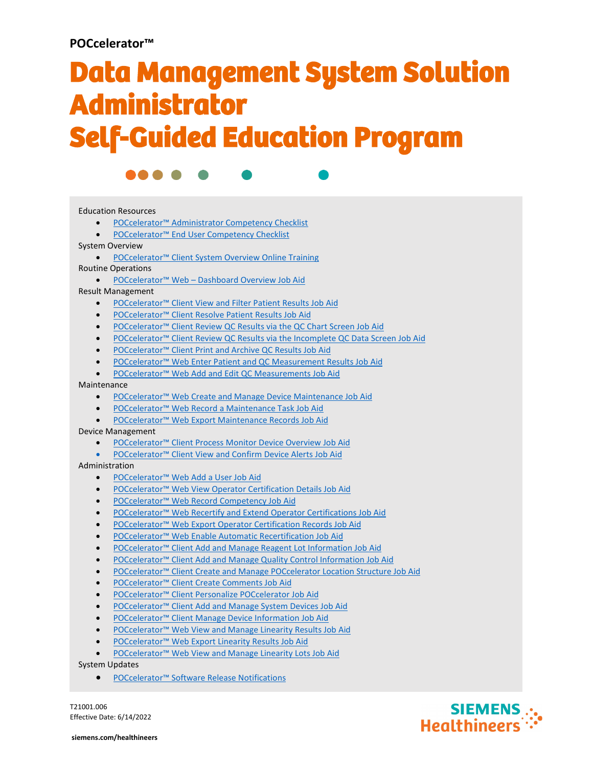# **POCcelerator™**

# Data Management System Solution Administrator Self-Guided Education Program



### Education Resources

- [POCcelerator™ Administrator Competency Checklist](https://pep.siemens-info.com/en-us/poccelerator-administrator-competency-checklist)
- **[POCcelerator™ End User Competency Checklist](https://pep.siemens-info.com/en-us/poccelerator-end-user-competency-checklist)**

System Overview

• [POCcelerator™ Client System Overview Online Training](https://pep.siemens-info.com/en-us/poccelerator-software-overview-online-training)

Routine Operations

• POCcelerator™ Web – [Dashboard Overview Job Aid](https://content-pep.siemens-info.com/CMS/PDFs/a3c22e43-64a4-4008-a7e7-d496c9ef5de6.pdf)

Result Management

- [POCcelerator™ Client View and Filter Patient Results Job Aid](https://pep.siemens-info.com/en-us/poccelerator-client-view-and-filter-patient-results)
- [POCcelerator™ Client Resolve Patient Results Job Aid](https://pep.siemens-info.com/en-us/poccelerator-client-resolve-patient-results)
- [POCcelerator™ Client Review QC Results via the QC Chart Screen Job Aid](https://pep.siemens-info.com/en-us/poccelerator-client-review-qc-results-via-the-qc-chart-screen)
- [POCcelerator™ Client Review QC Results via the Incomplete QC Data Screen Job Aid](https://pep.siemens-info.com/en-us/poccelerator-client-review-qc-results-via-the-incomplete-qc-data-screen)
- [POCcelerator™ Client Print and Archive QC Results Job Aid](https://pep.siemens-info.com/en-us/poccelerator-client-print-and-archive-qc-results)
- [POCcelerator™ Web Enter Patient and QC Measurement Results Job Aid](https://pep.siemens-info.com/en-us/poccelerator-web-enter-patient-and-qc-measurement-results)
- [POCcelerator™ Web Add and Edit QC Measurements Job Aid](https://pep.siemens-info.com/en-us/poccelerator-web-add-and-edit-qc-measurements)

#### Maintenance

- [POCcelerator™ Web Create and Manage Device Maintenance Job Aid](https://pep.siemens-info.com/en-us/poccelerator-web-create-and-manage-device-maintenance)
- [POCcelerator™ Web Record a Maintenance Task Job Aid](https://pep.siemens-info.com/en-us/poccelerator-web-record-a-maintenance-task)
- [POCcelerator™ Web Export Maintenance Records Job Aid](https://pep.siemens-info.com/en-us/poccelerator-web-export-maintenance-records)

#### Device Management

- [POCcelerator™ Client Process Monitor Device Overview Job Aid](https://pep.siemens-info.com/en-us/poccelerator-client-process-monitor-device-overview)
- [POCcelerator™ Client View and Confirm Device Alerts Job Aid](https://pep.siemens-info.com/en-us/poccelerator-client-view-and-confirm-device-alerts)

#### Administration

- [POCcelerator™ Web Add a User Job Aid](https://pep.siemens-info.com/en-us/poccelerator-web-add-a-user)
- **[POCcelerator™ Web View Operator Certification Details Job Aid](https://pep.siemens-info.com/en-us/poccelerator-web-view-operator-certification-details)**
- [POCcelerator™ Web Record Competency Job Aid](https://pep.siemens-info.com/en-us/poccelerator-web-record-competency)
- [POCcelerator™ Web Recertify and Extend Operator Certifications Job Aid](https://pep.siemens-info.com/en-us/poccelerator-web-recertify-and-extend-operator-certifications)
- [POCcelerator™ Web Export Operator Certification Records Job Aid](https://pep.siemens-info.com/en-us/poccelerator-web-export-operator-certification-records)
- [POCcelerator™ Web Enable Automatic Recertification Job Aid](https://pep.siemens-info.com/en-us/poccelerator-web-enable-automatic-recertification)
- [POCcelerator™ Client Add and Manage Reagent Lot Information Job Aid](https://pep.siemens-info.com/en-us/poccelerator-client-add-and-manage-reagent-lot-information)
- [POCcelerator™ Client Add and Manage Quality Control Information Job Aid](https://pep.siemens-info.com/en-us/poccelerator-client-add-and-manage-quality-control-information)
- POCcelerator™ Client Create [and Manage POCcelerator Location Structure Job Aid](https://pep.siemens-info.com/en-us/poccelerator-client-create-and-manage-poccelerator-location-structure)
- [POCcelerator™ Client Create Comments Job Aid](https://pep.siemens-info.com/en-us/poccelerator-client-create-comments)
- [POCcelerator™ Client Personalize POCcelerator Job Aid](https://pep.siemens-info.com/en-us/poccelerator-client-personalize-poccelerator-job-aid)
- [POCcelerator™ Client Add and Manage System Devices Job Aid](https://pep.siemens-info.com/en-us/poccelerator-client-add-and-manage-system-devices)
- [POCcelerator™ Client Manage Device Information Job Aid](https://pep.siemens-info.com/en-us/poccelerator-client-manage-device-information)
- [POCcelerator™ Web View and Manage Linearity Results Job Aid](https://pep.siemens-info.com/en-us/poccelerator-web-view-and-manage-linearity-results)
- [POCcelerator™ Web Export Linearity Results Job Aid](https://pep.siemens-info.com/en-us/poccelerator-web-export-linearity-results)
- [POCcelerator™ Web View and Manage Linearity Lots Job Aid](https://pep.siemens-info.com/en-us/poccelerator-web-view-and-manage-linearity-lots)

## System Updates

• [POCcelerator™ Software Release Notifications](https://pep.siemens-info.com/en-us/poccelerator-software-release-notifications)

Effective Date: 6/14/2022